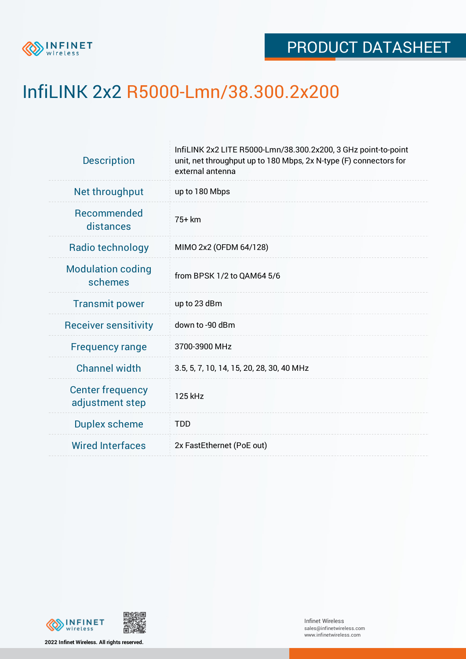

## InfiLINK 2x2 R5000-Lmn/38.300.2x200

| <b>Description</b>                         | InfiLINK 2x2 LITE R5000-Lmn/38.300.2x200, 3 GHz point-to-point<br>unit, net throughput up to 180 Mbps, 2x N-type (F) connectors for<br>external antenna |  |  |  |
|--------------------------------------------|---------------------------------------------------------------------------------------------------------------------------------------------------------|--|--|--|
| Net throughput                             | up to 180 Mbps                                                                                                                                          |  |  |  |
| <b>Recommended</b><br>distances            | 75+ km                                                                                                                                                  |  |  |  |
| Radio technology                           | MIMO 2x2 (OFDM 64/128)                                                                                                                                  |  |  |  |
| <b>Modulation coding</b><br>schemes        | from BPSK 1/2 to QAM64 5/6                                                                                                                              |  |  |  |
| <b>Transmit power</b>                      | up to 23 dBm                                                                                                                                            |  |  |  |
| <b>Receiver sensitivity</b>                | down to -90 dBm                                                                                                                                         |  |  |  |
| <b>Frequency range</b>                     | 3700-3900 MHz                                                                                                                                           |  |  |  |
| <b>Channel width</b>                       | 3.5, 5, 7, 10, 14, 15, 20, 28, 30, 40 MHz                                                                                                               |  |  |  |
| <b>Center frequency</b><br>adjustment step | 125 kHz                                                                                                                                                 |  |  |  |
| <b>Duplex scheme</b>                       | <b>TDD</b>                                                                                                                                              |  |  |  |
| <b>Wired Interfaces</b>                    | 2x FastEthernet (PoE out)                                                                                                                               |  |  |  |
|                                            |                                                                                                                                                         |  |  |  |



**2022 Infinet Wireless. All rights reserved.**

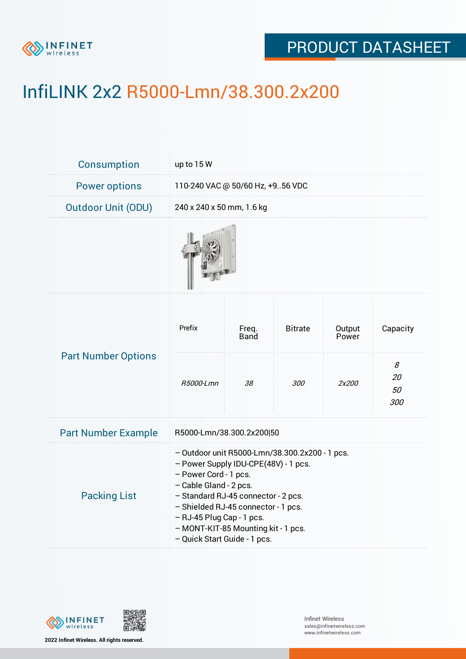

## PRODUCT DATASHEET

# InfiLINK 2x2 R5000-Lmn/38.300.2x200

| <b>Consumption</b>         | up to $15W$                                                                                                                                                                                                                                                                                                                 |               |                |                 |                      |  |  |
|----------------------------|-----------------------------------------------------------------------------------------------------------------------------------------------------------------------------------------------------------------------------------------------------------------------------------------------------------------------------|---------------|----------------|-----------------|----------------------|--|--|
| <b>Power options</b>       | 110-240 VAC @ 50/60 Hz, +956 VDC                                                                                                                                                                                                                                                                                            |               |                |                 |                      |  |  |
| <b>Outdoor Unit (ODU)</b>  | 240 x 240 x 50 mm, 1.6 kg                                                                                                                                                                                                                                                                                                   |               |                |                 |                      |  |  |
|                            |                                                                                                                                                                                                                                                                                                                             |               |                |                 |                      |  |  |
| <b>Part Number Options</b> | Prefix                                                                                                                                                                                                                                                                                                                      | Freq.<br>Band | <b>Bitrate</b> | Output<br>Power | Capacity             |  |  |
|                            | R5000-Lmn                                                                                                                                                                                                                                                                                                                   | 38            | 300            | 2x200           | 8<br>20<br>50<br>300 |  |  |
| <b>Part Number Example</b> | R5000-Lmn/38.300.2x200 50                                                                                                                                                                                                                                                                                                   |               |                |                 |                      |  |  |
| <b>Packing List</b>        | - Outdoor unit R5000-Lmn/38.300.2x200 - 1 pcs.<br>- Power Supply IDU-CPE(48V) - 1 pcs.<br>- Power Cord - 1 pcs.<br>- Cable Gland - 2 pcs.<br>- Standard RJ-45 connector - 2 pcs.<br>- Shielded RJ-45 connector - 1 pcs.<br>- RJ-45 Plug Cap - 1 pcs.<br>- MONT-KIT-85 Mounting kit - 1 pcs.<br>- Quick Start Guide - 1 pcs. |               |                |                 |                      |  |  |

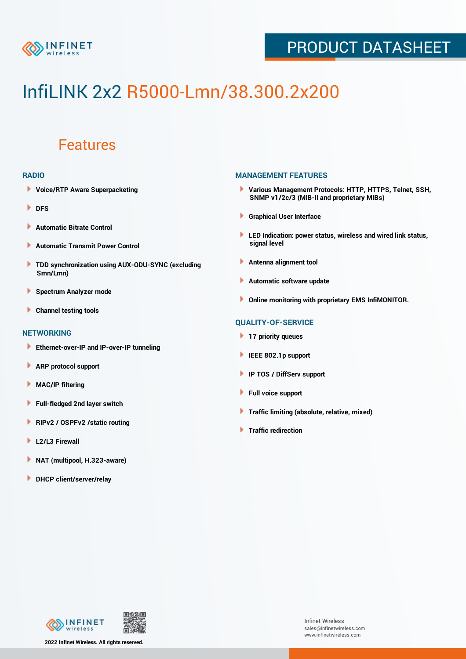

## PRODUCT DATASHEET

# InfiLINK 2x2 R5000-Lmn/38.300.2x200

### Features

#### **RADIO**

- **Voice/RTP Aware Superpacketing**
- **DFS**
- **Automatic Bitrate Control** Þ
- Þ **Automatic Transmit Power Control**
- ь **TDD synchronization using AUX-ODU-SYNC (excluding Smn/Lmn)**
- **Spectrum Analyzer mode** ۰
- **Channel testing tools** ١

#### **NETWORKING**

- **Ethernet-over-IP and IP-over-IP tunneling**
- Þ **ARP protocol support**
- ۱ **MAC/IP filtering**
- Þ **Full-fledged 2nd layer switch**
- Þ **RIPv2 / OSPFv2 /static routing**
- **L2/L3 Firewall** Þ
- **NAT (multipool, H.323-aware)** Þ
- **DHCP client/server/relay**

#### **MANAGEMENT FEATURES**

- **Various Management Protocols: HTTP, HTTPS, Telnet, SSH, SNMP v1/2c/3 (MIB-II and proprietary MIBs)**
- **Graphical User Interface**
- **LED Indication: power status, wireless and wired link status, signal level**
- **Antenna alignment tool**
- ٠ **Automatic software update**
- **Online monitoring with proprietary EMS InfiMONITOR.**

#### **QUALITY-OF-SERVICE**

- **17 priority queues**
- **IEEE 802.1p support**
- **IP TOS / DiffServ support**
- ٠ **Full voice support**
- **Traffic limiting (absolute, relative, mixed)** ٠
- **Traffic redirection**